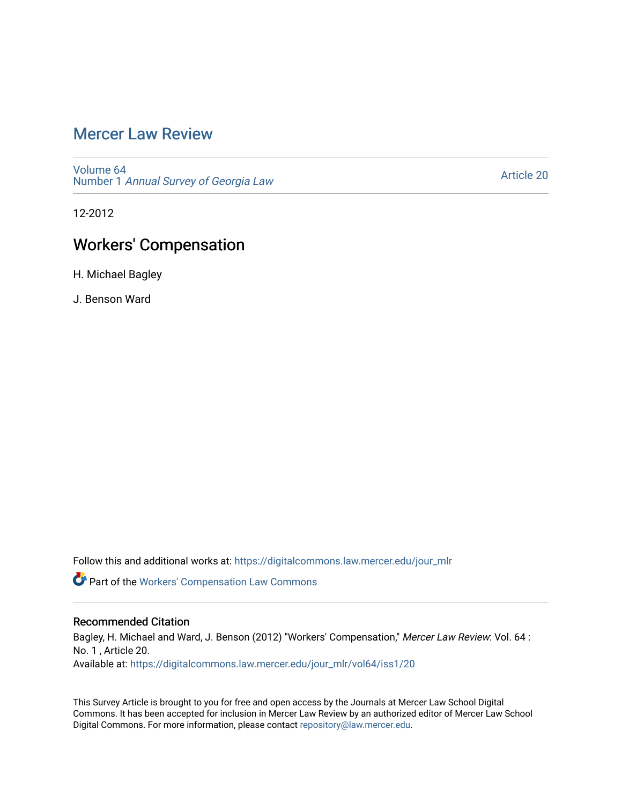## [Mercer Law Review](https://digitalcommons.law.mercer.edu/jour_mlr)

[Volume 64](https://digitalcommons.law.mercer.edu/jour_mlr/vol64) Number 1 [Annual Survey of Georgia Law](https://digitalcommons.law.mercer.edu/jour_mlr/vol64/iss1) 

[Article 20](https://digitalcommons.law.mercer.edu/jour_mlr/vol64/iss1/20) 

12-2012

# Workers' Compensation

H. Michael Bagley

J. Benson Ward

Follow this and additional works at: [https://digitalcommons.law.mercer.edu/jour\\_mlr](https://digitalcommons.law.mercer.edu/jour_mlr?utm_source=digitalcommons.law.mercer.edu%2Fjour_mlr%2Fvol64%2Fiss1%2F20&utm_medium=PDF&utm_campaign=PDFCoverPages)

Part of the [Workers' Compensation Law Commons](http://network.bepress.com/hgg/discipline/889?utm_source=digitalcommons.law.mercer.edu%2Fjour_mlr%2Fvol64%2Fiss1%2F20&utm_medium=PDF&utm_campaign=PDFCoverPages)

## Recommended Citation

Bagley, H. Michael and Ward, J. Benson (2012) "Workers' Compensation," Mercer Law Review: Vol. 64 : No. 1 , Article 20. Available at: [https://digitalcommons.law.mercer.edu/jour\\_mlr/vol64/iss1/20](https://digitalcommons.law.mercer.edu/jour_mlr/vol64/iss1/20?utm_source=digitalcommons.law.mercer.edu%2Fjour_mlr%2Fvol64%2Fiss1%2F20&utm_medium=PDF&utm_campaign=PDFCoverPages) 

This Survey Article is brought to you for free and open access by the Journals at Mercer Law School Digital Commons. It has been accepted for inclusion in Mercer Law Review by an authorized editor of Mercer Law School Digital Commons. For more information, please contact [repository@law.mercer.edu](mailto:repository@law.mercer.edu).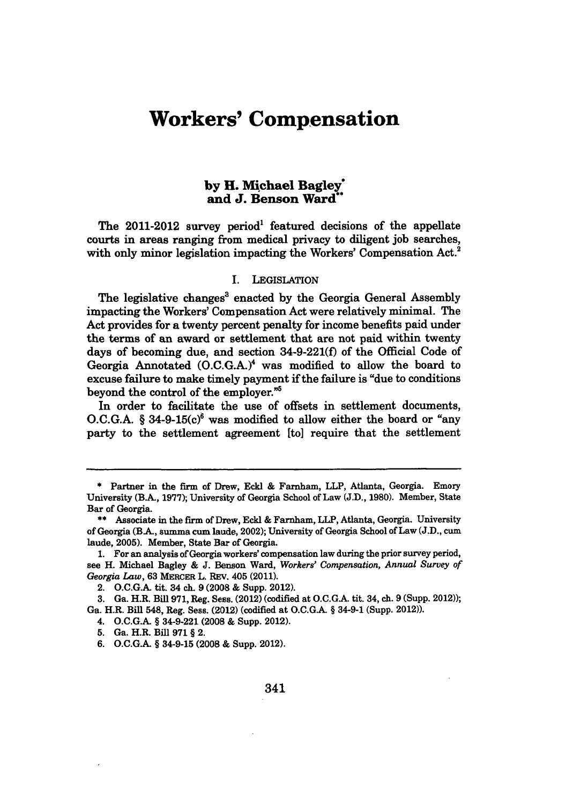# **Workers' Compensation**

## **by H. Michael Bagley\* and J. Benson Ward**

The  $2011-2012$  survey period<sup>1</sup> featured decisions of the appellate courts in areas ranging from medical privacy to diligent job searches, with only minor legislation impacting the Workers' Compensation Act.<sup>2</sup>

#### **I.** LEGISLATION

The legislative changes' enacted **by** the Georgia General Assembly impacting the Workers' Compensation Act were relatively minimal. The Act provides for a twenty percent penalty for income benefits paid under the terms of an award or settlement that are not paid within twenty days of becoming due, and section **34-9-221(f)** of the Official Code of Georgia Annotated **(O.C.G.A.)<sup>4</sup>**was modified to allow the board to excuse failure to make timely payment if the failure is "due to conditions beyond the control of the employer."<sup>5</sup>

In order to facilitate the use of offsets in settlement documents,  $O.C.G.A.$  § 34-9-15 $(c)$ <sup>6</sup> was modified to allow either the board or "any party to the settlement agreement [to] require that the settlement

- 4. **O.C.G.A.** § 34-9-221 (2008 **&** Supp. 2012).
- **5.** Ga. H.R. Bill **971 §** 2.
- **6. O.C.G.A.** § 34-9-15 (2008 **&** Supp. 2012).

**<sup>\*</sup>** Partner in the firm of Drew, **Ecki &** Farnham, LLP, Atlanta, Georgia. Emory University (B.A-, **1977);** University of Georgia School of Law **(J.D., 1980).** Member, State Bar of Georgia.

**<sup>\*\*</sup>** Associate in the firm of Drew, Eckl **&** Farnham, LLP, Atlanta, Georgia. University of Georgia (BA, summa cum laude, 2002); University of Georgia School of Law **(J.D.,** cum laude, **2005).** Member, State Bar of Georgia.

**<sup>1.</sup>** For an analysis of Georgia workers' compensation law during the prior survey period, see H. Michael Bagley **& J.** Benson Ward, *Workers' Compensation, Annual Survey of Georgia Law,* **63** MERCER L. REV. 405 (2011).

<sup>2.</sup> **O.C.G.A.** tit. 34 **ch. 9 (2008 &** Supp. 2012).

**<sup>3.</sup>** Ga. H.R. Bill **971,** Reg. Sess. (2012) (codified at **O.C.G.A.** tit. 34, ch. **9** (Supp. 2012)); Ga. H.R. Bill 548, Reg. Sess. (2012) (codified at **O.C.G.A.** § 34-9-1 (Supp. 2012)).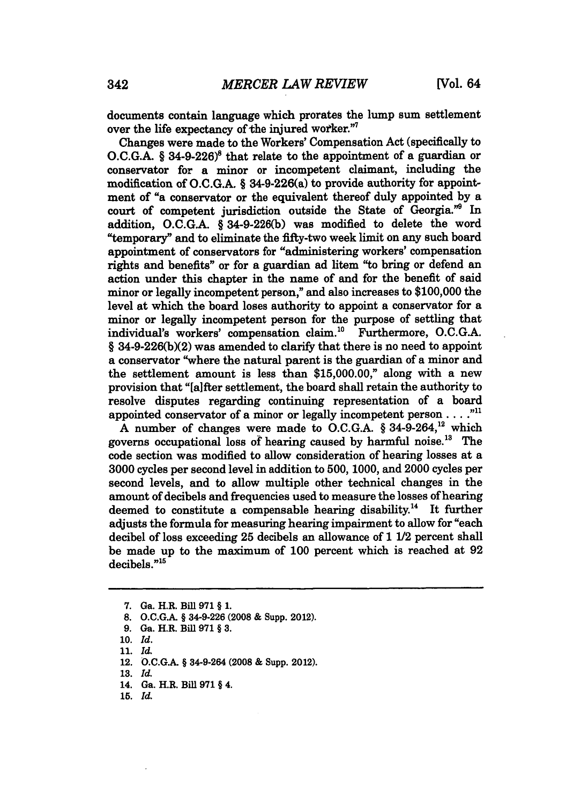documents contain language which prorates the lump sum settlement over the life expectancy of the injured worker."7

Changes were made to the Workers' Compensation Act (specifically to O.C.G.A. § 34-9-226)<sup>8</sup> that relate to the appointment of a guardian or conservator for a minor or incompetent claimant, including the modification **of O.C.G.A.** § 34-9-226(a) to provide authority for appointment of "a conservator or the equivalent thereof duly appointed **by** a court of competent jurisdiction outside the State of Georgia."9 In addition, **O.C.G.A.** § **34-9-226(b)** was modified to delete the word "temporary" and to eliminate the fifty-two week limit on any such board appointment of conservators for "administering workers' compensation rights and benefits" or for a guardian ad litem "to bring or defend an action under this chapter in the name of and for the benefit of said minor or legally incompetent person," and also increases to **\$100,000** the level at which the board loses authority to appoint a conservator for a minor or legally incompetent person for the purpose of settling that individual's workers' compensation claim.'" Furthermore, **O.C.G.A. § 34-9-226(b)(2)** was amended to clarify that there is no need to appoint a conservator "where the natural parent is the guardian of a minor and the settlement amount is less than **\$15,000.00,"** along with a new provision that "[a]fter settlement, the board shall retain the authority to resolve disputes regarding continuing representation of a board appointed conservator of a minor or legally incompetent person . . . . "<sup>11</sup>

**A** number of changes were made to **O.C.G.A.** § 34-9-264,12 which governs occupational loss of hearing caused by harmful noise.<sup>13</sup> The code section was modified to allow consideration of hearing losses at a **3000** cycles per second level in addition to **500, 1000,** and 2000 cycles per second levels, and to allow multiple other technical changes in the amount of decibels and frequencies used to measure the losses of hearing deemed to constitute a compensable hearing disability.<sup>14</sup> It further adjusts the formula for measuring hearing impairment to allow for "each decibel of loss exceeding **25** decibels an allowance of **1** 1/2 percent shall be made up to the maximum of **100** percent which is reached at **92**  $decibels.^{"15}$ 

**15.** *Id.*

**<sup>7.</sup>** Ga. H.R. Bill **971** § **1.**

**<sup>8.</sup> O.C.GA.** § 34-9-226 **(2008 &** Supp. 2012).

**<sup>9.</sup>** Ga. H.R. BiU **971§ 3.**

**<sup>10.</sup>** *Id.*

<sup>11.</sup> *id.*

<sup>12.</sup> O.C.G.A. § 34-9-264 (2008 & Supp. 2012).

**<sup>13.</sup>** *Id.*

<sup>14.</sup> Ga. H.R. Bill **971** § 4.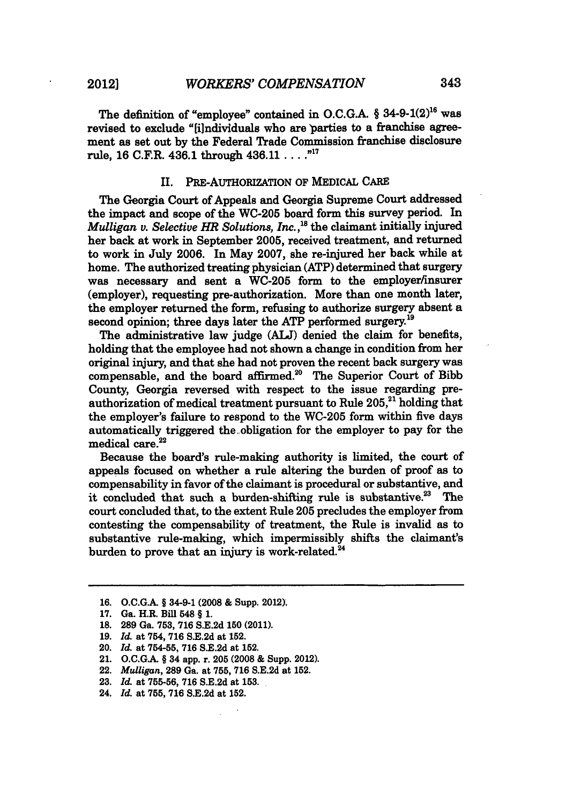The definition of "employee" contained in **O.C.G.A.** § 34-9-1(2)16 was revised to exclude "filndividuals who are parties to a franchise agreement as set out **by** the Federal Trade Commission franchise disclosure rule, **16** C.F.R. 436.1 through 436.11 .... **.""**

#### **II. PRE-AUTHORIZATION OF** MEDICAL CARE

The Georgia Court of Appeals and Georgia Supreme Court addressed the impact and scope of the WC-205 board form this survey period. In *Mulligan v. Selective HR Solutions, Inc.*,<sup>18</sup> the claimant initially injured her back at work in September **2005,** received treatment, and returned to work in July **2006.** In May **2007,** she re-injured her back while at home. The authorized treating physician (ATP) determined that surgery was necessary and sent a WC-205 form to the employer/insurer (employer), requesting pre-authorization. More than one month later, the employer returned the form, refusing to authorize surgery absent a second opinion; three days later the ATP performed surgery.<sup>19</sup>

The administrative law judge **(ALT)** denied the claim for benefits, holding that the employee had not shown a change in condition from her original injury, and that she had not proven the recent back surgery was compensable, and the board affirmed.<sup>20</sup> The Superior Court of Bibb County, Georgia reversed with respect to the issue regarding preauthorization of medical treatment pursuant to Rule 205,<sup>21</sup> holding that the employer's failure to respond to the WC-205 form within five days automatically triggered the-obligation for the employer to pay for the medical care.<sup>22</sup>

Because the board's rule-making authority is limited, the court of appeals focused on whether a rule altering the burden of proof as to compensability in favor of the claimant is procedural or substantive, and it concluded that such a burden-shifting rule is substantive.<sup>23</sup> The court concluded that, to the extent Rule **205** precludes the employer from contesting the compensability of treatment, the Rule is invalid as to substantive rule-making, which impermissibly shifts the claimant's burden to prove that an injury is work-related. $2^2$ 

**19.** *Id.* at 754, **716 S.E.2d** at **152.**

- 21. **O.C.GA.** § 34 app. r. **205** (2008 **&** Supp. 2012).
- 22. *Mulligan,* **289** Ga. at **755, 716 S.E.2d** at **152.**
- **23.** *Id.* at **755-56, 716 S.E.2d** at **153.**
- 24. *Id.* at **755, 716 S.E.2d** at **152.**

**<sup>16.</sup> O.C.G.A.** § 34-9-1 **(2008 &** Supp. 2012).

<sup>17.</sup> **Ga. H.R. Bill 548 § 1.** 

**<sup>18. 289</sup>** Ga. **753, 716 S.E.2d 150** (2011).

<sup>20.</sup> *Id.* at 754-55, **716 S.E.2d** at 152.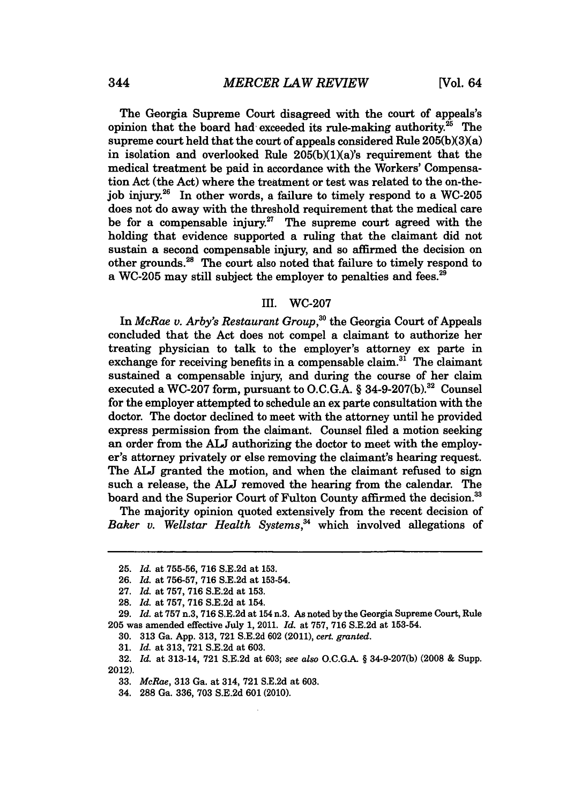The Georgia Supreme Court disagreed with the court of appeals's opinion that the board had- exceeded its rule-making authority.<sup>25</sup> The supreme court held that the court of appeals considered Rule  $205(b)(3)(a)$ in isolation and overlooked Rule  $205(b)(1)(a)$ 's requirement that the medical treatment be paid in accordance with the Workers' Compensation Act (the Act) where the treatment or test was related to the on-the**job** injury.26 In other words, a failure to timely respond to a WC-205 does not do away with the threshold requirement that the medical care be for a compensable injury.<sup>27</sup> The supreme court agreed with the holding that evidence supported a ruling that the claimant did not sustain a second compensable injury, and so affirmed the decision on other grounds. 8 The court also noted that failure to timely respond to a WC-205 may still subject the employer to penalties and fees.<sup>29</sup>

#### III. WC-207

In *McRae v. Arby's Restaurant Group*,<sup>30</sup> the Georgia Court of Appeals concluded that the Act does not compel a claimant to authorize her treating physician to talk to the employer's attorney ex parte in exchange for receiving benefits in a compensable claim.<sup>31</sup> The claimant sustained a compensable injury, and during the course of her claim executed a WC-207 form, pursuant to O.C.G.A. § 34-9-207(b).<sup>32</sup> Counsel for the employer attempted to schedule an ex parte consultation with the doctor. The doctor declined to meet with the attorney until he provided express permission from the claimant. Counsel filed a motion seeking an order from the **ALJ** authorizing the doctor to meet with the employer's attorney privately or else removing the claimant's hearing request. The **ALJ** granted the motion, and when the claimant refused to sign such a release, the **ALJ** removed the hearing from the calendar. The board and the Superior Court of Fulton County affirmed the decision.<sup>33</sup>

The majority opinion quoted extensively from the recent decision of Baker v. Wellstar Health Systems,<sup>34</sup> which involved allegations of

**<sup>25.</sup>** *Id.* at **755-56, 716 S.E.2d** at **153.**

**<sup>26.</sup>** *Id.* at **756-57, 716 S.E.2d** at 153-54.

**<sup>27.</sup>** *Id.* at **757, 716 S.E.2d** at **153.**

**<sup>28.</sup>** *Id.* at **757, 716 S.E.2d** at 154.

**<sup>29.</sup>** *Id.* at **757** n.3, **716 S.E.2d** at 154 n.3. As noted **by** the Georgia Supreme Court, Rule **205** was amended effective July **1,** 2011. *Id.* at **757, 716 S.E.2d** at **153-54.**

**<sup>30. 313</sup>** Ga. **App. 313, 721 S.E.2d 602** (2011), *cert. granted.*

**<sup>31.</sup>** *Id.* at **313, 721 S.E.2d** at **603.**

**<sup>32.</sup>** *Id.* at 313-14, **721 S.E.2d** at **603;** *see also* O.C.G-.A § **34-9-207(b) (2008 &** Supp. 2012).

**<sup>33.</sup>** *McRae,* **313** Ga. at 314, **721 S.E.2d** at **603.**

<sup>34.</sup> **288** Ga. **336, 703 S.E.2d 601** (2010).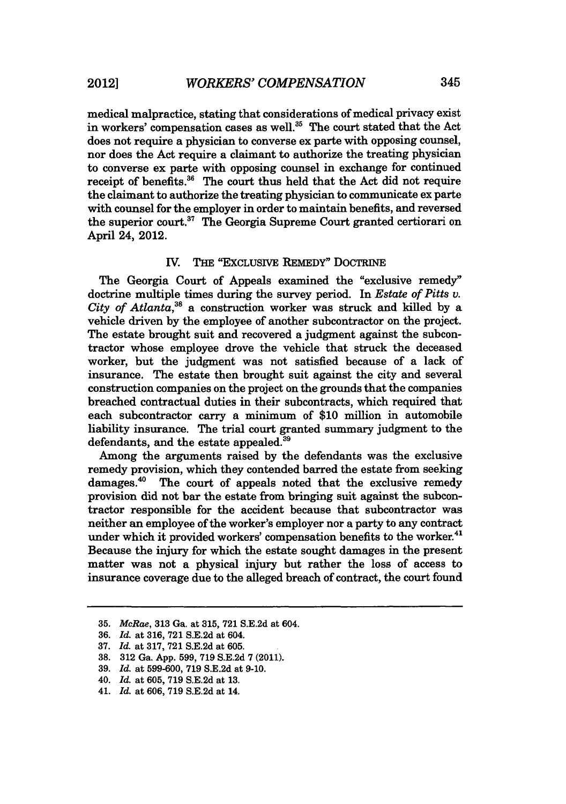medical malpractice, stating that considerations of medical privacy exist in workers' compensation cases as well.<sup>35</sup> The court stated that the Act does not require a physician to converse ex parte with opposing counsel, nor does the Act require a claimant to authorize the treating physician to converse ex parte with opposing counsel in exchange for continued receipt of benefits.<sup>36</sup> The court thus held that the Act did not require the claimant to authorize the treating physician to communicate ex parte with counsel for the employer in order to maintain benefits, and reversed the superior court.<sup>37</sup> The Georgia Supreme Court granted certiorari on April 24, 2012.

#### IV. **THE** "EXCLUSIVE REMEDY" DocTRINE

The Georgia Court of Appeals examined the "exclusive remedy" doctrine multiple times during the survey period. In *Estate of Pitts v. City of Atlanta,38* a construction worker was struck and killed by a vehicle driven by the employee of another subcontractor on the project. The estate brought suit and recovered a judgment against the subcontractor whose employee drove the vehicle that struck the deceased worker, but the judgment was not satisfied because of a lack of insurance. The estate then brought suit against the city and several construction companies on the project on the grounds that the companies breached contractual duties in their subcontracts, which required that each subcontractor carry a minimum of \$10 million in automobile liability insurance. The trial court granted summary judgment to the defendants, and the estate appealed.<sup>39</sup>

Among the arguments raised by the defendants was the exclusive remedy provision, which they contended barred the estate from seeking damages.<sup>40</sup> The court of appeals noted that the exclusive remedy provision did not bar the estate from bringing suit against the subcontractor responsible for the accident because that subcontractor was neither an employee of the worker's employer nor a party to any contract under which it provided workers' compensation benefits to the worker.<sup>41</sup> Because the injury for which the estate sought damages in the present matter was not a physical injury but rather the loss of access to insurance coverage due to the alleged breach of contract, the court found

<sup>35.</sup> *McRae,* **313** Ga. at 315, 721 S.E.2d at 604.

<sup>36.</sup> *Id.* at 316, 721 S.E.2d at 604.

<sup>37.</sup> *Id.* at 317, 721 S.E.2d at 605.

<sup>38. 312</sup> Ga. App. 599, 719 S.E.2d 7 (2011).

<sup>39.</sup> *Id.* at 599-600, **719** S.E.2d at **9-10.**

<sup>40.</sup> *Id.* at **605,** 719 S.E.2d at 13.

<sup>41.</sup> *Id.* at 606, 719 S.E.2d at 14.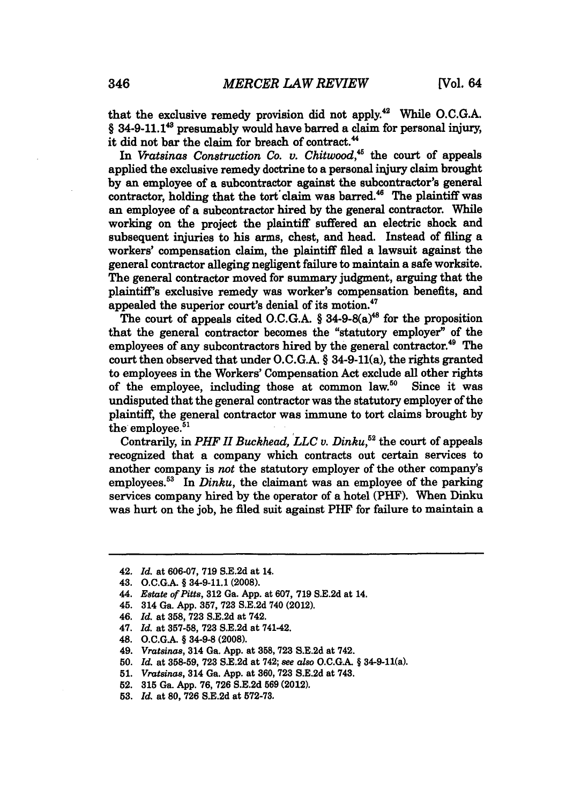that the exclusive remedy provision did not apply.<sup>42</sup> While O.C.G.A.  $§$  34-9-11.1<sup>43</sup> presumably would have barred a claim for personal injury, it did not bar the claim for breach of contract.<sup>44</sup>

In *Vratsinas Construction Co. v. Chitwood,"* the court of appeals applied the exclusive remedy doctrine to a personal injury claim brought **by** an employee of a subcontractor against the subcontractor's general contractor, holding that the tort claim was barred.<sup>46</sup> The plaintiff was an employee of a subcontractor hired **by** the general contractor. While working on the project the plaintiff suffered an electric shock and subsequent injuries to his arms, chest, and head. Instead of filing a workers' compensation claim, the plaintiff filed a lawsuit against the general contractor alleging negligent failure to maintain a safe worksite. The general contractor moved for summary judgment, arguing that the plaintiff's exclusive remedy was worker's compensation benefits, and appealed the superior court's denial of its motion.<sup>47</sup>

The court of appeals cited O.C.G.A.  $§$  34-9-8( $a$ )<sup>48</sup> for the proposition that the general contractor becomes the "statutory employer" of the employees of any subcontractors hired by the general contractor.<sup>49</sup> The court then observed that under **O.C.G.A.** § 34-9-11(a), the rights granted to employees in the Workers' Compensation Act exclude all other rights of the employee, including those at common law.<sup>50</sup> Since it was undisputed that the general contractor was the statutory employer of the plaintiff, the general contractor was immune to tort claims brought **by** the employee. $51$ 

Contrarily, in *PHF II Buckhead, LLC v. Dinku*,<sup>52</sup> the court of appeals recognized that a company which contracts out certain services to another company is not the statutory employer of the other company's employees.<sup>53</sup> In *Dinku*, the claimant was an employee of the parking services company hired by the operator of a hotel (PHF). When Dinku was hurt on the job, he filed suit against PHF for failure to maintain a

- 45. 314 Ga. **App. 357, 723 S.E.2d** 740 (2012).
- 46. *Id.* at **358, 723 S.E.2d** at 742.
- 47. *Id.* at **357-58, 723 S.E.2d** at 741-42.
- 48. **O.C.G.A. § 34-9-8 (2008).**
- 49. *Vratsinas,* 314 Ga. **App.** at **358, 723 S.E.2d** at 742.
- **50.** *Id.* at **358-59, 723 S.E.2d** at 742; *see also* **O.C.G.A.** § 34-9-11(a).
- **51.** *Vratsinas,* 314 Ga. **App.** at **360, 723 S.E.2d** at 743.
- 52. **315** Ga. **App. 76, 726 S.E.2d 569** (2012).
- **53.** *Id.* at **80, 726 S.E.2d** at **572-73.**

<sup>42.</sup> *Id.* at **606-07, 719 S.E.2d** at 14.

<sup>43.</sup> **O.C.G.A.** *§* 34-9-11.1 **(2008).**

<sup>44.</sup> *Estate of Pitts,* **312** Ga. **App.** at **607, 719 S.E.2d** at 14.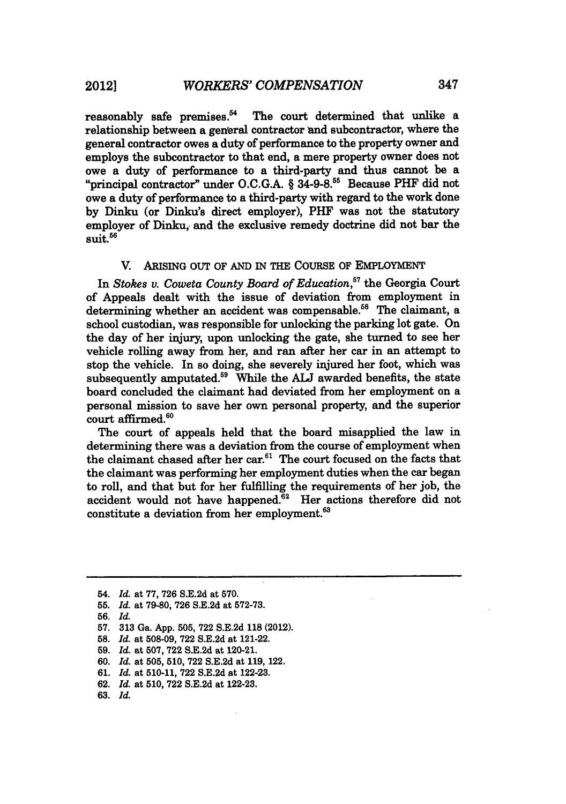reasonably safe premises. $54$  The court determined that unlike a relationship between a general contractor and subcontractor, where the general contractor owes a duty of performance to the property owner and employs the subcontractor to that end, a mere property owner does not owe a duty of performance to a third-party and thus cannot be a "principal contractor" under **O.C.G.A.** § **34-9-8."5** Because PHF did not owe a duty of performance to a third-party with regard to the work done **by** Dinku (or Dinku's direct employer), PHF was not the statutory employer of Dinku, and the exclusive remedy doctrine did not bar the  $s$ uit. $^{56}$ 

#### V. ARISING **OUT** OF **AND** IN THE **COURSE** OF EMPLOYMENT

In *Stokes v. Coweta County Board of Education,"* the Georgia Court of Appeals dealt with the issue of deviation from employment in determining whether an accident was compensable.<sup>58</sup> The claimant, a school custodian, was responsible for unlocking the parking lot gate. On the day of her injury, upon unlocking the gate, she turned to see her vehicle rolling away from her, and ran after her car in an attempt to stop the vehicle. In so doing, she severely injured her foot, which was subsequently amputated.59 While the **ALJ** awarded benefits, the state board concluded the claimant had deviated from her employment on a personal mission to save her own personal property, and the superior court affirmed.<sup>60</sup>

The court of appeals held that the board misapplied the law in determining there was a deviation from the course of employment when the claimant chased after her car.<sup>61</sup> The court focused on the facts that the claimant was performing her employment duties when the car began to roll, and that but for her fulfilling the requirements of her job, the accident would not have happened.<sup>62</sup> Her actions therefore did not constitute a deviation from her employment.<sup>63</sup>

<sup>54.</sup> *Id.* at 77, 726 S.E.2d at 570.

**<sup>55.</sup>** *Id.* at 79-80, 726 S.E.2d at 572-73.

**<sup>56.</sup>** *Id.*

**<sup>57. 313</sup>** Ga. **App. 505, 722 S.E.2d 118** (2012).

**<sup>58.</sup>** *Id.* at **508-09,** 722 S.E.2d at 121-22.

**<sup>59.</sup>** *Id.* at 507, **722** S.E.2d at 120-21.

<sup>60.</sup> *Id.* at **505,** 510, 722 S.E.2d at 119, 122.

**<sup>61.</sup>** *Id.* at 510-11, **722** S.E.2d at 122-23.

<sup>62.</sup> *Id.* at 510, 722 S.E.2d at 122-23.

<sup>63.</sup> *Id.*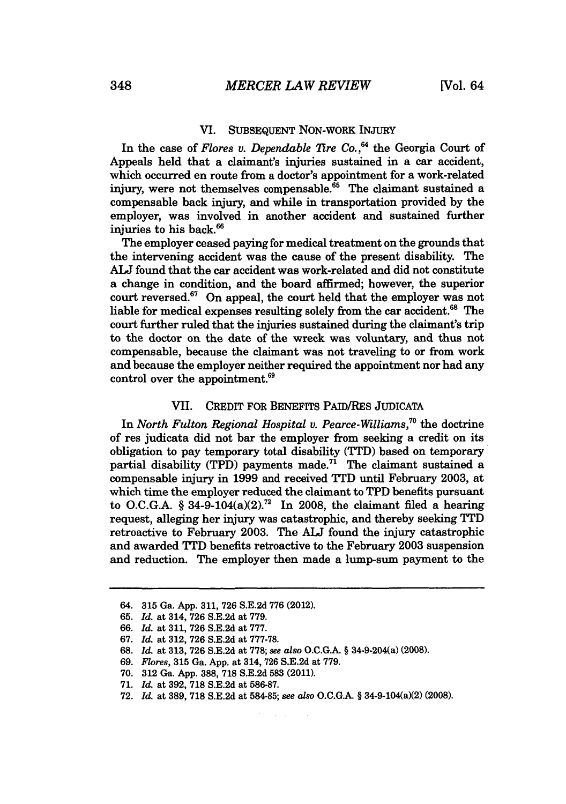### VI. SUBSEQUENT NON-WORK INJURY

In the case of *Flores v. Dependable 77re Co.,"* the Georgia Court of Appeals held that a claimant's injuries sustained in a car accident, which occurred en route from a doctor's appointment for a work-related injury, were not themselves compensable. $65$  The claimant sustained a compensable back injury, and while in transportation provided by the employer, was involved in another accident and sustained further injuries to his back.<sup>66</sup>

The employer ceased paying for medical treatment on the grounds that the intervening accident was the cause of the present disability. The **ALJ** found that the car accident was work-related and did not constitute a change in condition, and the board affirmed; however, the superior court reversed.<sup>67</sup> On appeal, the court held that the employer was not liable for medical expenses resulting solely from the car accident.<sup>68</sup> The court further ruled that the injuries sustained during the claimant's trip to the doctor on the date of the wreck was voluntary, and thus not compensable, because the claimant was not traveling to or from work and because the employer neither required the appointment nor had any control over the appointment.<sup>69</sup>

#### VII. CREDIT FOR BENEFITS PAID/RES JUDICATA

In *North Fulton Regional Hospital v. Pearce-Williams,"* the doctrine of res judicata did not bar the employer from seeking a credit on its obligation to pay temporary total disability (TTD) based on temporary partial disability (TPD) payments made.<sup>71</sup> The claimant sustained a compensable injury in 1999 and received TTD until February 2003, at which time the employer reduced the claimant to TPD benefits pursuant to O.C.G.A. § 34-9-104(a)(2).<sup>72</sup> In 2008, the claimant filed a hearing request, alleging her injury was catastrophic, and thereby seeking TTD retroactive to February 2003. The **ALT** found the injury catastrophic and awarded TTD benefits retroactive to the February 2003 suspension and reduction. The employer then made a lump-sum payment to the

**68.** *Id.* at **313, 726 S.E.2d** at **778;** *see also* **O.C.G.A.** § 34-9-204(a) **(2008).**

- 70. 312 Ga. App. 388, 718 S.E.2d **583** (2011).
- 71. *Id.* at 392, 718 S.E.2d at 586-87.
- 72. *Id.* at 389, 718 S.E.2d at 584-85; *see also* O.C.G.A. § 34-9-104(a)(2) (2008).

<sup>64. 315</sup> Ga. App. 311, 726 S.E.2d 776 (2012).

<sup>65.</sup> *Id.* at 314, 726 S.E.2d at 779.

<sup>66.</sup> *Id.* at 311, 726 S.E.2d at 777.

<sup>67.</sup> *Id.* at 312, 726 S.E.2d at 777-78.

<sup>69.</sup> *Flores,* 315 Ga. App. at 314, **726** S.E.2d at 779.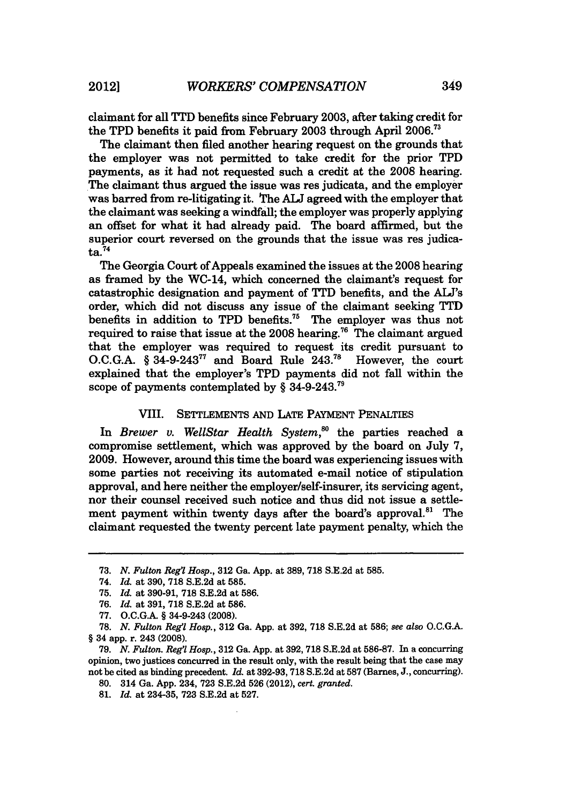claimant for all **TTD** benefits since February **2003,** after taking credit for the TPD benefits it paid from February **2003** through April **2006.<sup>73</sup>**

The claimant then filed another hearing request on the grounds that the employer was not permitted to take credit for the prior TPD payments, as it had not requested such a credit at the **2008** hearing. The claimant thus argued the issue was res judicata, and the employer was barred from re-litigating it. The **AUJ** agreed with the employer that the claimant was seeking a windfall; the employer was properly applying an offset for what it had already paid. The board affirmed, but the superior court reversed on the grounds that the issue was res judica $ta.<sup>74</sup>$ 

The Georgia Court of Appeals examined the issues at the **2008** hearing as framed **by** the WC-14, which concerned the claimant's request for catastrophic designation and payment of **fTTD** benefits, and the **ALJ's** order, which did not discuss any issue of the claimant seeking TTD benefits in addition to TPD benefits.<sup>75</sup> The employer was thus not required to raise that issue at the **2008** hearing.76 The claimant argued that the employer was required to request its credit pursuant to **O.C.G.A.** § 34-9-24377 and Board Rule 243.78 However, the court explained that the employer's TPD payments did not fall within the scope of payments contemplated by  $\S$  34-9-243.<sup>79</sup>

#### VIII. **SETTLEMENTS AND LATE** PAYMENT PENALTIES

In *Brewer v. WellStar Health System*,<sup>80</sup> the parties reached a compromise settlement, which was approved **by** the board on July **7, 2009.** However, around this time the board was experiencing issues with some parties not receiving its automated e-mail notice of stipulation approval, and here neither the employer/self-insurer, its servicing agent, nor their counsel received such notice and thus did not issue a settlement payment within twenty days after the board's approval.<sup>81</sup> The claimant requested the twenty percent late payment penalty, which the

**<sup>73.</sup>** *N. Fulton Reg'l Hosp.,* **312** Ga. **App.** at **389, 718 S.E.2d** at **585.**

<sup>74.</sup> *Id.* at **390, 718 S.E.2d** at **585.**

**<sup>75.</sup>** *Id.* at **390-91, 718 S.E.2d** at **586.**

**<sup>76.</sup>** *Id.* at **391, 718 S.E.2d** at **586.**

**<sup>77.</sup> O.C.G.A.** § 34-9-243 **(2008).**

**<sup>78.</sup>** *N. Fulton Reg'l Hosp.,* **312** Ga. **App.** at **392, 718 S.E.2d** at **586;** *see also* **O.C.G.A.** § 34 app. r. 243 **(2008).**

**<sup>79.</sup>** *N. Fulton. Reg'l Hosp.,* **312** Ga. **App.** at **392, 718 S.E.2d** at **586-87.** In a concurring opinion, two justices concurred in the result only, with the result being that the case may not be cited as binding precedent. *Id.* at **392-93, 718 S.E.2d** at **587** (Barnes, **J.,** concurring).

**<sup>80.</sup>** 314 Ga. **App.** 234, **723 S.E.2d 526** (2012), *cert. granted.*

**<sup>81.</sup>** *Id.* at 234-35, **723 S.E.2d** at **527.**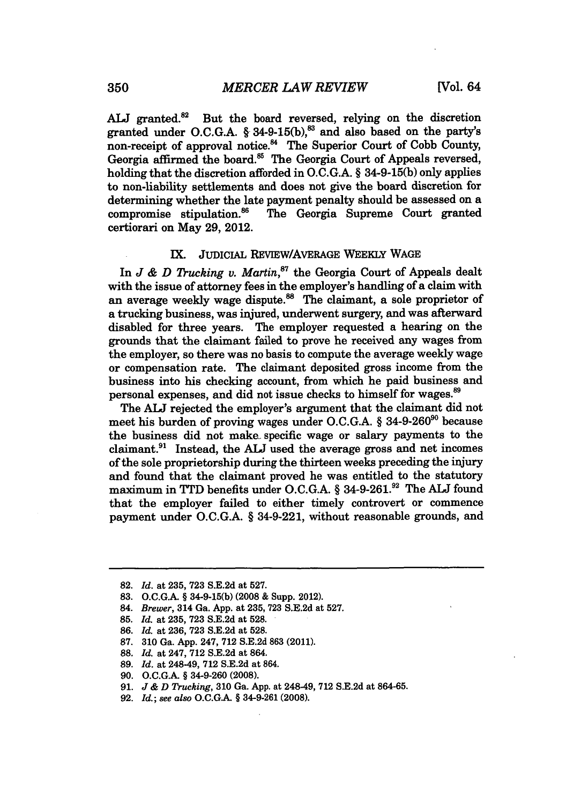ALJ granted.<sup>82</sup> But the board reversed, relying on the discretion granted under O.C.G.A. § 34-9-15(b),<sup>83</sup> and also based on the party's non-receipt of approval notice.<sup>84</sup> The Superior Court of Cobb County, Georgia affirmed the board.<sup>85</sup> The Georgia Court of Appeals reversed. holding that the discretion afforded in **O.C.G.A.** § **34-9-15(b)** only applies to non-liability settlements and does not give the board discretion for determining whether the late payment penalty should be assessed on a compromise stipulation.86 The Georgia Supreme Court granted certiorari on May **29,** 2012.

#### **IX. JUDICIAL** REVIEW/AVERAGE WEEKLY **WAGE**

In *J & D Trucking v. Martin*,<sup>87</sup> the Georgia Court of Appeals dealt with the issue of attorney fees in the employer's handling of a claim with an average weekly wage dispute.<sup>88</sup> The claimant, a sole proprietor of a trucking business, was injured, underwent surgery, and was afterward disabled for three years. The employer requested a hearing on the grounds that the claimant failed to prove he received any wages from the employer, so there was no basis to compute the average weekly wage or compensation rate. The claimant deposited gross income from the business into his checking account, from which he paid business and personal expenses, and did not issue checks to himself for wages.<sup>89</sup>

The **ALJ** rejected the employer's argument that the claimant did not meet his burden of proving wages under **O.C.G.A.** § **34-9-2609o** because the business did not make- specific wage or salary payments to the claimant.91 Instead, the **ALJ** used the average gross and net incomes of the sole proprietorship during the thirteen weeks preceding the injury and found that the claimant proved he was entitled to the statutory maximum in TTD benefits under **O.C.G.A.** § 34-9-261.92 The **ALJ** found that the employer failed to either timely controvert or commence payment under **O.C.G.A.** § 34-9-221, without reasonable grounds, and

**<sup>82.</sup>** *Id.* at **235, 723 S.E.2d** at **527.**

**<sup>83.</sup> O.C.G.A.** § **34-9-15(b) (2008** & Supp. 2012).

<sup>84.</sup> *Brewer,* 314 Ga. **App.** at **235, 723 S.E.2d** at **527.**

**<sup>85.</sup>** *Id.* at **235, 723 S.E.2d** at **528.**

**<sup>86.</sup>** *Id.* at **236, 723 S.E.2d** at **528.**

**<sup>87. 310</sup>** Ga. **App.** 247, **712 S.E.2d 863** (2011).

**<sup>88.</sup>** *Id.* at 247, **712 S.E.2d** at 864.

**<sup>89.</sup>** *Id.* at 248-49, **712 S.E.2d** at 864.

**<sup>90.</sup> O.C.GA** § 34-9-260 **(2008).**

**<sup>91.</sup>** *J & D Trucking,* **310** Ga. **App.** at 248-49, **712 S.E.2d** at **864-65.**

**<sup>92.</sup>** *Id.;* see *also* **O.C.GA** § 34-9-261 **(2008).**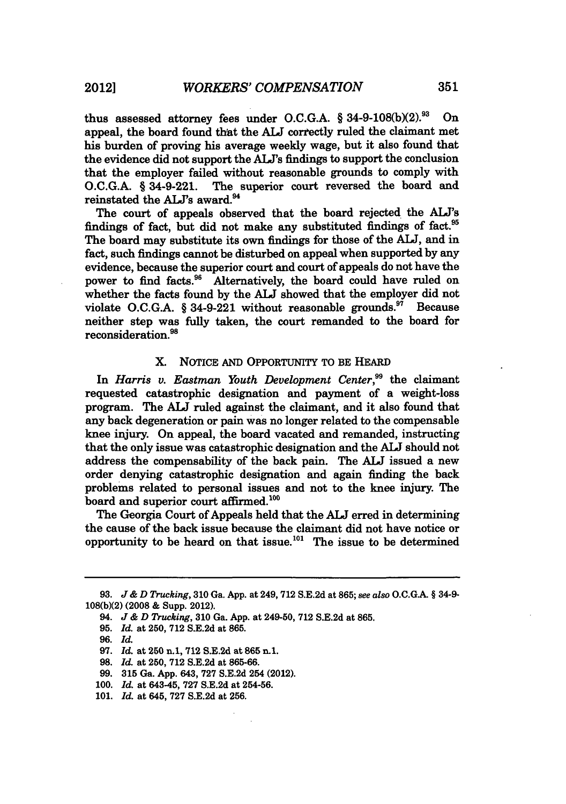thus assessed attorney fees under **O.C.G.A.** § **34-9-108(bX2). <sup>9</sup> "** On appeal, the board found that the **ALJ** correctly ruled the claimant met his burden of proving his average weekly wage, but it also found that the evidence did not support the **ALJ's** findings to support the conclusion that the employer failed without reasonable grounds to comply with **O.C.G.A.** § 34-9-221. The superior court reversed the board and reinstated the **AL's** award.94

The court of appeals observed that the board rejected the **ALJ's** findings of fact, but did not make any substituted findings of fact.<sup>95</sup> The board may substitute its own findings for those of the **ALJ,** and in fact, such findings cannot be disturbed on appeal when supported **by** any evidence, because the superior court and court of appeals do not have the power to find facts.<sup>96</sup> Alternatively, the board could have ruled on whether the facts found **by** the **ALJ** showed that the employer did not violate O.C.G.A. § 34-9-221 without reasonable grounds.<sup>97</sup> Because neither step was fully taken, the court remanded to the board for reconsideration.<sup>98</sup>

#### X. NoTcE **AND** OPPORTUNITY TO BE HEARD

In *Harris v. Eastman Youth Development Center,99* the claimant requested catastrophic designation and payment of a weight-loss program. The **ALJ** ruled against the claimant, and it also found that any back degeneration or pain was no longer related to the compensable knee injury. On appeal, the board vacated and remanded, instructing that the only issue was catastrophic designation and the **ALW** should not address the compensability of the back pain. The **ALT** issued a new order denying catastrophic designation and again finding the back problems related to personal issues and not to the knee injury. The board and superior court affirmed.<sup>100</sup>

The Georgia Court of Appeals held that the **ALJ** erred in determining the cause of the back issue because the claimant did not have notice or opportunity to be heard on that issue.<sup>101</sup> The issue to be determined

**96.** *Id.*

- **98.** *Id.* at **250, 712 S.E.2d** at **865-66.**
- **99. 315** Ga. **App.** 643, **727 S.E.2d** 254 (2012).
- **100.** *Id.* at 643-45, **727 S.E.2d** at **254-56.**
- **101.** *Id.* at 645, **727 S.E.2d** at **256.**

**<sup>93.</sup>** *J& D Trucking,* **310** Ga. **App.** at 249, 712 **S.E.2d** at **865;** *see also* **O.C.GA** § 34-9- **108(b)(2) (2008 &** Supp. 2012).

<sup>94.</sup> *J & D Trucking,* **310** Ga. **App.** at 249-50, **712 S.E.2d** at **865.**

**<sup>95.</sup>** *Id.* at **250, 712 S.E.2d** at **865.**

**<sup>97.</sup>** *Id.* at 250 n.1, **712 S.E.2d** at **865 n.1.**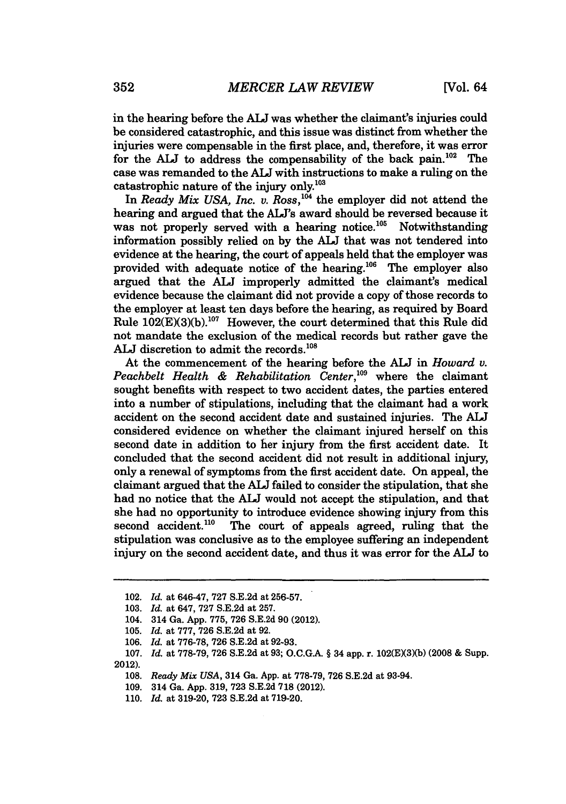in the hearing before the **ALJ** was whether the claimant's injuries could be considered catastrophic, and this issue was distinct from whether the injuries were compensable in the first place, and, therefore, it was error for the ALJ to address the compensability of the back pain.<sup>102</sup> The case was remanded to the **ALJ** with instructions to make a ruling on the catastrophic nature of the injury only.'03

In *Ready Mix USA, Inc. v. Ross*,<sup>104</sup> the employer did not attend the hearing and argued that the **ALJ's** award should be reversed because it was not properly served with a hearing notice.<sup>105</sup> Notwithstanding information possibly relied on **by** the **ALJ** that was not tendered into evidence at the hearing, the court of appeals held that the employer was provided with adequate notice of the hearing. $^{106}$  The employer also argued that the **ALJ** improperly admitted the claimant's medical evidence because the claimant did not provide a copy of those records to the employer at least ten days before the hearing, as required **by** Board Rule **102(E)(3)(b). 1°7** However, the court determined that this Rule did not mandate the exclusion of the medical records but rather gave the ALJ discretion to admit the records.<sup>108</sup>

At the commencement of the hearing before the **AJ** in *Howard v. Peachbelt Health & Rehabilitation Center,'09* where the claimant sought benefits with respect to two accident dates, the parties entered into a number of stipulations, including that the claimant had a work accident on the second accident date and sustained injuries. The **ALJ** considered evidence on whether the claimant injured herself on this second date in addition to her injury from the first accident date. It concluded that the second accident did not result in additional injury, only a renewal of symptoms from the first accident date. On appeal, the claimant argued that the **ALJ** failed to consider the stipulation, that she had no notice that the **AJ** would not accept the stipulation, and that she had no opportunity to introduce evidence showing injury from this second accident.<sup>110</sup> The court of appeals agreed, ruling that the The court of appeals agreed, ruling that the stipulation was conclusive as to the employee suffering an independent injury on the second accident date, and thus it was error for the AU to

<sup>102.</sup> *Id.* at 646-47, **727 S.E.2d** at **256-57.**

**<sup>103.</sup>** *Id.* at 647, **727 S.E.2d** at **257.**

<sup>104. 314</sup> Ga. **App. 775, 726 S.E.2d 90** (2012).

**<sup>105.</sup>** *Id.* at **777, 726 S.E.2d** at **92.**

**<sup>106.</sup>** *Id.* at **776-78, 726 S.E.2d** at **92-93.**

**<sup>107.</sup>** *Id.* at **778-79, 726 S.E.2d** at **93; O.C.GA** § 34 app. r. **102(EX3)(b) (2008 &** Supp. 2012).

**<sup>108.</sup>** *Ready Mix USA,* 314 Ga. **App.** at **778-79, 726 S.E.2d** at 93-94.

**<sup>109.</sup>** 314 Ga. **App. 319, 723 S.E.2d 718** (2012).

**<sup>110.</sup>** *Id.* at **319-20, 723 S.E.2d** at **719-20.**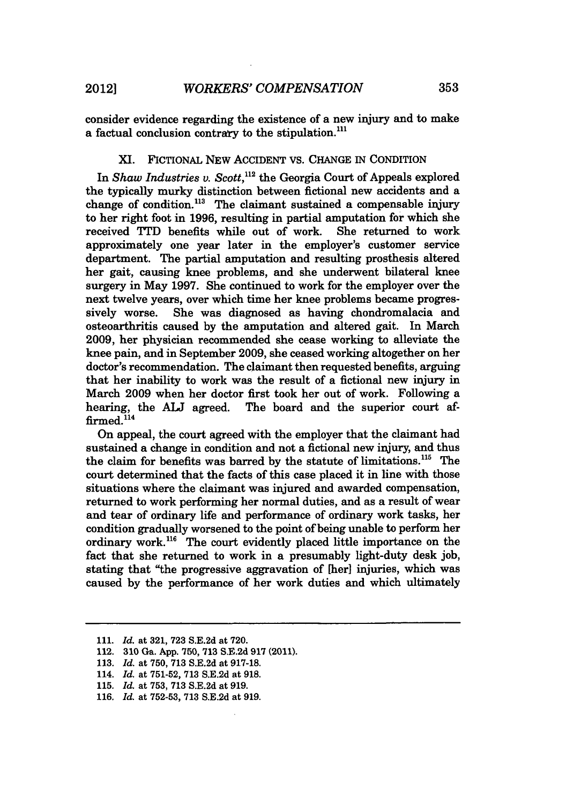consider evidence regarding the existence of a new injury and to make a factual conclusion contrary to the stipulation.<sup>111</sup>

#### XI. FICTIONAL NEW ACCIDENT VS. CHANGE IN CONDITION

In *Shaw Industries v. Scott*,<sup>112</sup> the Georgia Court of Appeals explored the typically murky distinction between fictional new accidents and a change of condition.<sup>113</sup> The claimant sustained a compensable injury to her right foot in 1996, resulting in partial amputation for which she received TTD benefits while out of work. She returned to work approximately one year later in the employer's customer service department. The partial amputation and resulting prosthesis altered her gait, causing knee problems, and she underwent bilateral knee surgery in May 1997. She continued to work for the employer over the next twelve years, over which time her knee problems became progressively worse. She was diagnosed as having chondromalacia and osteoarthritis caused by the amputation and altered gait. In March 2009, her physician recommended she cease working to alleviate the knee pain, and in September 2009, she ceased working altogether on her doctor's recommendation. The claimant then requested benefits, arguing that her inability to work was the result of a fictional new injury in March 2009 when her doctor first took her out of work. Following a hearing, the **ALJ** agreed. The board and the superior court affirmed.<sup>114</sup>

On appeal, the court agreed with the employer that the claimant had sustained a change in condition and not a fictional new injury, and thus the claim for benefits was barred by the statute of limitations. $115$  The court determined that the facts of this case placed it in line with those situations where the claimant was injured and awarded compensation, returned to work performing her normal duties, and as a result of wear and tear of ordinary life and performance of ordinary work tasks, her condition gradually worsened to the point of being unable to perform her ordinary work.<sup>116</sup> The court evidently placed little importance on the fact that she returned to work in a presumably light-duty desk job, stating that "the progressive aggravation of [her] injuries, which was caused by the performance of her work duties and which ultimately

116. *Id.* at 752-53, **713** S.E.2d at 919.

<sup>111.</sup> *Id.* at 321, 723 S.E.2d at 720.

<sup>112.</sup> **310** Ga. App. 750, **713** S.E.2d 917 (2011).

<sup>113.</sup> *Id.* at 750, 713 S.E.2d at 917-18.

<sup>114.</sup> *Id.* at 751-52, 713 S.E.2d at 918.

<sup>115.</sup> *Id.* at 753, 713 S.E.2d at 919.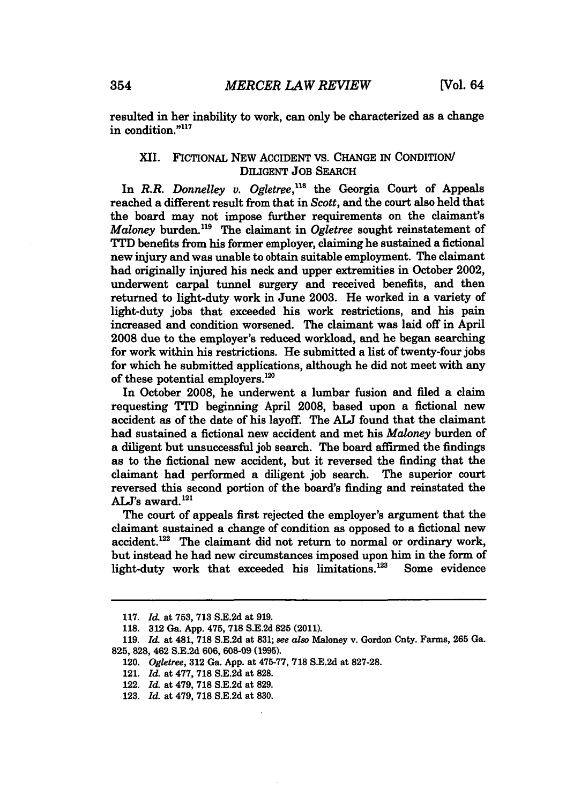resulted in her inability to work, can only be characterized as a change in condition."<sup>117</sup>

### XII. FICTIONAL NEW ACCIDENT **VS. CHANGE** IN CONDITION/ DILIGENT **JOB** SEARCH

In *R.R. Donnelley v. Ogletree*,<sup>118</sup> the Georgia Court of Appeals reached a different result from that in *Scott,* and the court also held that the board may not impose further requirements on the claimant's *Maloney* burden."9 The claimant in *Ogletree* sought reinstatement of TTD benefits from his former employer, claiming he sustained a fictional new injury and was unable to obtain suitable employment. The claimant had originally injured his neck and upper extremities in October 2002, underwent carpal tunnel surgery and received benefits, and then returned to light-duty work in June **2003.** He worked in a variety of light-duty jobs that exceeded his work restrictions, and his pain increased and condition worsened. The claimant was laid off in April **2008** due to the employer's reduced workload, and he began searching for work within his restrictions. He submitted a list of twenty-four jobs for which he submitted applications, although he did not meet with any of these potential employers. $120$ 

In October **2008,** he underwent a lumbar fusion and filed a claim requesting TTD beginning April **2008,** based upon a fictional new accident as of the date of his layoff. The **ALJ** found that the claimant had sustained a fictional new accident and met his *Maloney* burden of a diligent but unsuccessful **job** search. The board affirmed the findings as to the fictional new accident, but it reversed the finding that the claimant had performed a diligent **job** search. The superior court reversed this second portion of the board's finding and reinstated the  $ALJ's$  award.<sup>121</sup>

The court of appeals first rejected the employer's argument that the claimant sustained a change of condition as opposed to a fictional new accident.<sup>122</sup> The claimant did not return to normal or ordinary work, but instead he had new circumstances imposed upon him in the form of light-duty work that exceeded his limitations.<sup>123</sup> Some evidence

**<sup>117.</sup>** *Id.* at **753, 713 S.E.2d** at **919.**

**<sup>118. 312</sup> Ga. App. 475, 718 S.E.2d 825 (2011).**

**<sup>119.</sup>** *Id.* at 481, **718 S.E.2d** at **831;** *see also* Maloney v. Gordon Cnty. Farms, **265** Ga. **825, 828,** 462 **S.E.2d 606, 608-09 (1995).**

*<sup>120.</sup> Ogletree,* **312** Ga. **App.** at **475-77, 718 S.E.2d** at **827-28.**

<sup>121.</sup> *Id.* at **477, 718 S.E.2d** at **828.**

<sup>122.</sup> *Id.* at 479, **718 S.E.2d** at **829.**

**<sup>123.</sup>** *Id.* at 479, **718 S.E.2d** at **830.**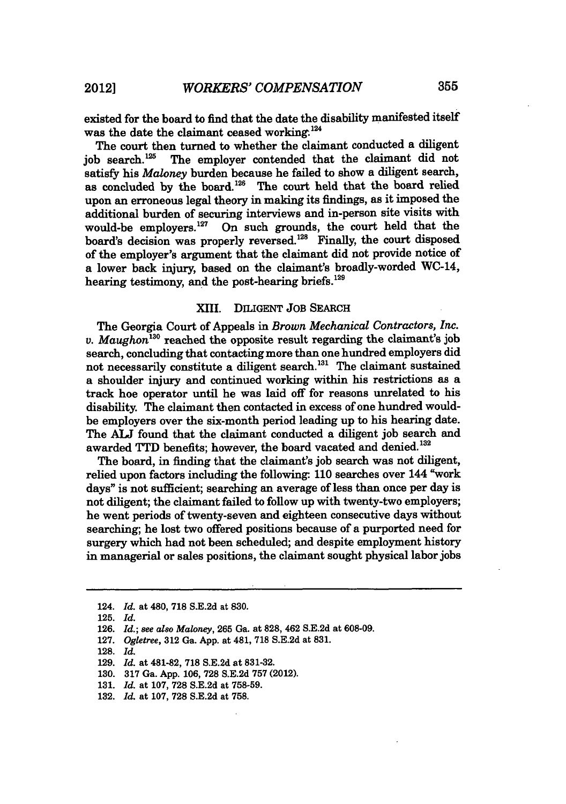existed for the board to find that the date the disability manifested itself was the date the claimant ceased working.<sup>124</sup>

The court then turned to whether the claimant conducted a diligent job search.<sup>125</sup> The employer contended that the claimant did not satisfy his *Maloney* burden because he failed to show a diligent search, as concluded by the board.<sup>126</sup> The court held that the board relied upon an erroneous legal theory in making its findings, as it imposed the additional burden of securing interviews and in-person site visits with would-be employers. $127$  On such grounds, the court held that the board's decision was properly reversed.<sup>128</sup> Finally, the court disposed of the employer's argument that the claimant did not provide notice of a lower back injury, based on the claimant's broadly-worded WC-14, hearing testimony, and the post-hearing briefs.<sup>129</sup>

#### **XIII.** DILIGENT JOB SEARCH

The Georgia Court of Appeals in *Brown Mechanical Contractors, Inc. v. Maughon'30* reached the opposite result regarding the claimant's **job** search, concluding that contacting more than one hundred employers did not necessarily constitute a diligent search.<sup>131</sup> The claimant sustained a shoulder injury and continued working within his restrictions as a track hoe operator until he was laid off for reasons unrelated to his disability. The claimant then contacted in excess of one hundred wouldbe employers over the six-month period leading up to his hearing date. The **ALJ** found that the claimant conducted a diligent **job** search and awarded TTD benefits; however, the board vacated and denied.<sup>132</sup>

The board, in finding that the claimant's **job** search was not diligent, relied upon factors including the following: 110 searches over 144 "work" days" is not sufficient; searching an average of less than once per day is not diligent; the claimant failed to follow up with twenty-two employers; he went periods of twenty-seven and eighteen consecutive days without searching; he lost two offered positions because of a purported need for surgery which had not been scheduled; and despite employment history in managerial or sales positions, the claimant sought physical labor jobs

<sup>124.</sup> *Id.* at 480, **718 S.E.2d** at **830.**

**<sup>125.</sup>** *Id.*

**<sup>126.</sup>** *Id.; see also Maloney,* **265** Ga. at **828,** 462 **S.E.2d** at **608-09.**

**<sup>127.</sup>** *Ogletree,* **312** Ga. **App.** at 481, **718 S.E.2d** at **831.**

<sup>128.</sup> *Id.*

<sup>129.</sup> *Id.* at 481-82, 718 S.E.2d at 831-32.

<sup>130. 317</sup> Ga. App. 106, 728 S.E.2d 757 (2012).

<sup>131.</sup> *Id.* at 107, 728 S.E.2d at 758-59.

<sup>132.</sup> *Id.* at 107, 728 S.E.2d at **758.**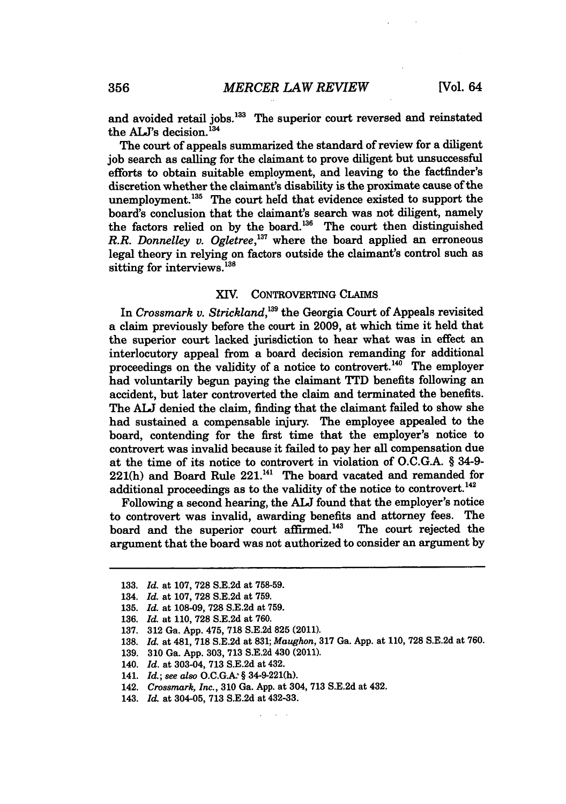and avoided retail jobs.<sup>133</sup> The superior court reversed and reinstated the ALJ's decision.<sup>134</sup>

The court of appeals summarized the standard of review for a diligent **job** search as calling for the claimant to prove diligent but unsuccessful efforts to obtain suitable employment, and leaving to the factfinder's discretion whether the claimant's disability is the proximate cause of the unemployment.<sup>135</sup> The court held that evidence existed to support the board's conclusion that the claimant's search was not diligent, namely the factors relied on **by** the board.'36 The court then distinguished *R.R. Donnelley v. Ogletree*,<sup>137</sup> where the board applied an erroneous legal theory in relying on factors outside the claimant's control such as sitting for interviews.<sup>138</sup>

#### XIV. CONTROVERTING CLAIMS

In *Crossmark v. Strickland,'39* the Georgia Court of Appeals revisited a claim previously before the court in **2009,** at which time it held that the superior court lacked jurisdiction to hear what was in effect an interlocutory appeal from a board decision remanding for additional proceedings on the validity of a notice to controvert.<sup>140</sup> The employer had voluntarily begun paying the claimant TTD benefits following an accident, but later controverted the claim and terminated the benefits. The **ALJ** denied the claim, finding that the claimant failed to show she had sustained a compensable injury. The employee appealed to the board, contending for the first time that the employer's notice to controvert was invalid because it failed to pay her all compensation due at the time of its notice to controvert in violation of **O.C.G.A.** § 34-9- 221(h) and Board Rule **221.141** The board vacated and remanded for additional proceedings as to the validity of the notice to controvert.<sup>142</sup>

Following a second hearing, the **ALJ** found that the employer's notice to controvert was invalid, awarding benefits and attorney fees. The board and the superior court affirmed.<sup>143</sup> The court rejected the argument that the board was not authorized to consider an argument **by**

**<sup>133.</sup>** *Id.* at **107, 728 S.E.2d** at **758-59.**

<sup>134.</sup> *Id.* at **107, 728 S.E.2d** at **759.**

**<sup>135.</sup>** *Id.* at **108-09, 728 S.E.2d** at **759.**

**<sup>136.</sup>** *Id.* at **110, 728 S.E.2d** at **760.**

**<sup>137. 312</sup>** Ga. **App.** 475, **718 S.E.2d 825** (2011).

**<sup>138.</sup>** *Id.* at 481, **718 S.E.2d** at **831;** *Maughon,* **317** Ga. **App.** at **110, 728 S.E.2d** at **760.**

**<sup>139. 310</sup>** Ga. **App. 303, 713 S.E.2d** 430 (2011).

<sup>140.</sup> *Id.* at 303-04, **713 S.E.2d** at 432.

<sup>141.</sup> *Id.; see also* O.C.G.A. § 34-9-221(h).

<sup>142.</sup> *Crossmark, Inc.,* **310** Ga. **App.** at 304, **713 S.E.2d** at 432.

<sup>143.</sup> *Id.* at 304-05, **713 S.E.2d** at 432-33.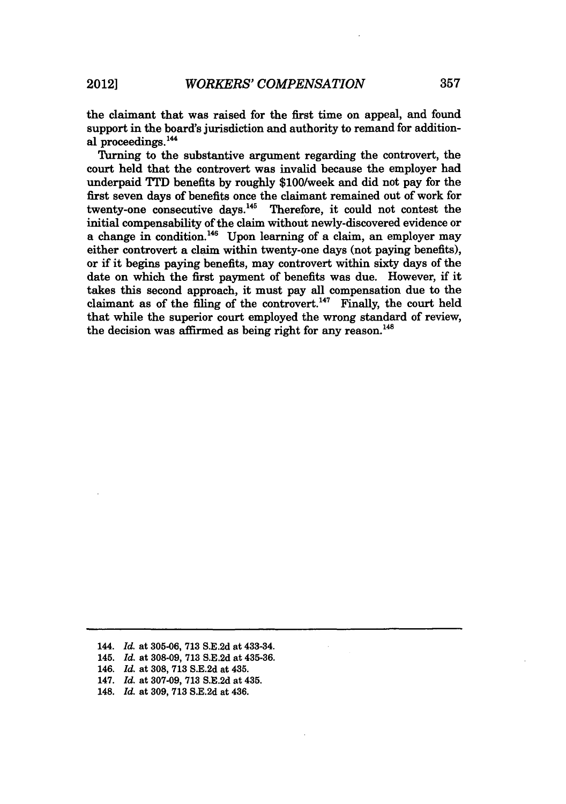the claimant that was raised for the first time on appeal, and found support in the board's jurisdiction and authority to remand for additional proceedings.<sup>144</sup>

Turning to the substantive argument regarding the controvert, the court held that the controvert was invalid because the employer had underpaid **TTD** benefits **by** roughly \$100/week and did not pay for the first seven days of benefits once the claimant remained out of work for twenty-one consecutive days.<sup>145</sup> Therefore, it could not contest the initial compensability of the claim without newly-discovered evidence or a change in condition.<sup>146</sup> Upon learning of a claim, an employer may either controvert a claim within twenty-one days (not paying benefits), or if it begins paying benefits, may controvert within sixty days of the date on which the first payment of benefits was due. However, if it takes this second approach, it must pay all compensation due to the claimant as of the filing of the controvert.<sup>147</sup> Finally, the court held that while the superior court employed the wrong standard of review, the decision was affirmed as being right for any reason.<sup>148</sup>

- 144. *Id.* at **305-06, 713 S.E.2d** at 433-34.
- 145. *Id.* at **308-09, 713 S.E.2d** at **435-36.**
- 146. *Id.* at 308, **713** S.E.2d at 435.
- 147. *Id.* at 307-09, **713** S.E.2d at 435.
- 148. *Id.* at 309, **713** S.E.2d at 436.